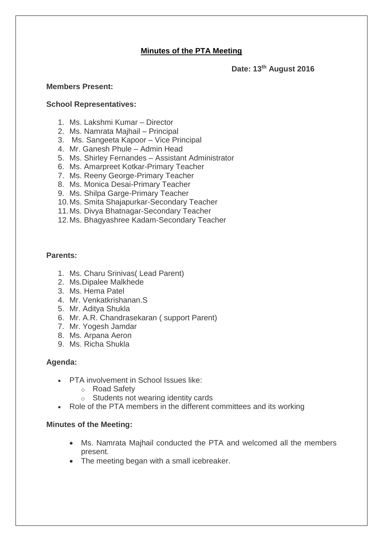# **Minutes of the PTA Meeting**

**Date: 13th August 2016**

### **Members Present:**

### **School Representatives:**

- 1. Ms. Lakshmi Kumar Director
- 2. Ms. Namrata Majhail Principal
- 3. Ms. Sangeeta Kapoor Vice Principal
- 4. Mr. Ganesh Phule Admin Head
- 5. Ms. Shirley Fernandes Assistant Administrator
- 6. Ms. Amarpreet Kotkar-Primary Teacher
- 7. Ms. Reeny George-Primary Teacher
- 8. Ms. Monica Desai-Primary Teacher
- 9. Ms. Shilpa Garge-Primary Teacher
- 10.Ms. Smita Shajapurkar-Secondary Teacher
- 11.Ms. Divya Bhatnagar-Secondary Teacher
- 12.Ms. Bhagyashree Kadam-Secondary Teacher

# **Parents:**

- 1. Ms. Charu Srinivas( Lead Parent)
- 2. Ms.Dipalee Malkhede
- 3. Ms. Hema Patel
- 4. Mr. Venkatkrishanan.S
- 5. Mr. Aditya Shukla
- 6. Mr. A.R. Chandrasekaran ( support Parent)
- 7. Mr. Yogesh Jamdar
- 8. Ms. Arpana Aeron
- 9. Ms. Richa Shukla

# **Agenda:**

- PTA involvement in School Issues like:
	- o Road Safety
	- o Students not wearing identity cards
- Role of the PTA members in the different committees and its working

# **Minutes of the Meeting:**

- Ms. Namrata Majhail conducted the PTA and welcomed all the members present.
- The meeting began with a small icebreaker.